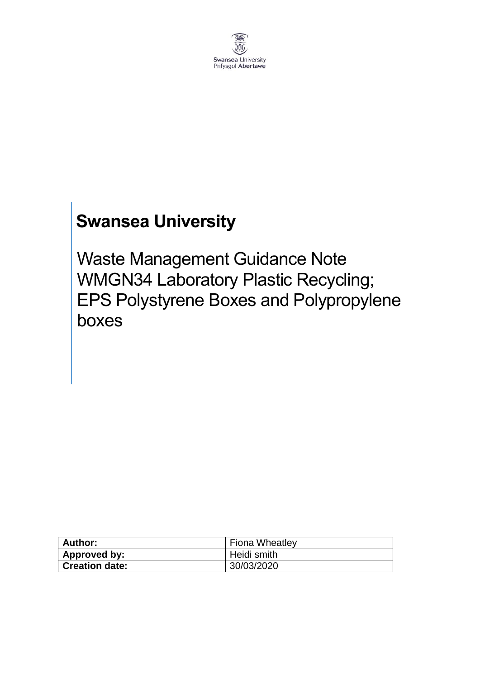

# **Swansea University**

Waste Management Guidance Note WMGN34 Laboratory Plastic Recycling; EPS Polystyrene Boxes and Polypropylene boxes

| Author:               | Fiona Wheatley |
|-----------------------|----------------|
| Approved by:          | Heidi smith    |
| <b>Creation date:</b> | 30/03/2020     |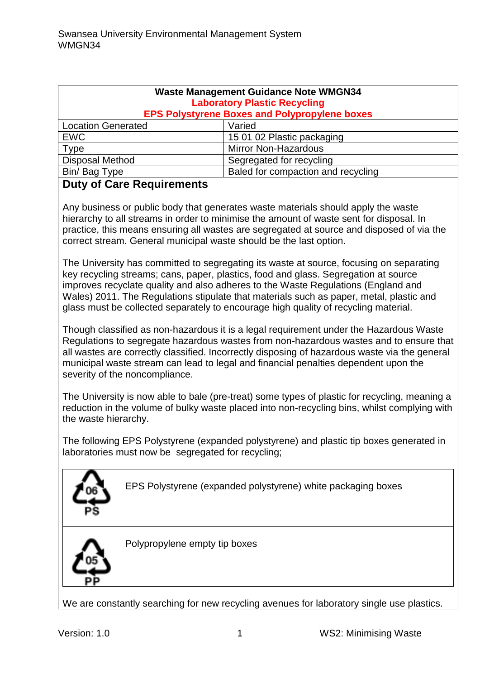| <b>Waste Management Guidance Note WMGN34</b><br><b>Laboratory Plastic Recycling</b><br><b>EPS Polystyrene Boxes and Polypropylene boxes</b> |                                    |
|---------------------------------------------------------------------------------------------------------------------------------------------|------------------------------------|
| <b>Location Generated</b>                                                                                                                   | Varied                             |
| <b>EWC</b>                                                                                                                                  | 15 01 02 Plastic packaging         |
| Type                                                                                                                                        | <b>Mirror Non-Hazardous</b>        |
| <b>Disposal Method</b>                                                                                                                      | Segregated for recycling           |
| Bin/Bag Type                                                                                                                                | Baled for compaction and recycling |

#### **Duty of Care Requirements**

Any business or public body that generates waste materials should apply the waste hierarchy to all streams in order to minimise the amount of waste sent for disposal. In practice, this means ensuring all wastes are segregated at source and disposed of via the correct stream. General municipal waste should be the last option.

The University has committed to segregating its waste at source, focusing on separating key recycling streams; cans, paper, plastics, food and glass. Segregation at source improves recyclate quality and also adheres to the Waste Regulations (England and Wales) 2011. The Regulations stipulate that materials such as paper, metal, plastic and glass must be collected separately to encourage high quality of recycling material.

Though classified as non-hazardous it is a legal requirement under the Hazardous Waste Regulations to segregate hazardous wastes from non-hazardous wastes and to ensure that all wastes are correctly classified. Incorrectly disposing of hazardous waste via the general municipal waste stream can lead to legal and financial penalties dependent upon the severity of the noncompliance.

The University is now able to bale (pre-treat) some types of plastic for recycling, meaning a reduction in the volume of bulky waste placed into non-recycling bins, whilst complying with the waste hierarchy.

The following EPS Polystyrene (expanded polystyrene) and plastic tip boxes generated in laboratories must now be segregated for recycling;

| PS | EPS Polystyrene (expanded polystyrene) white packaging boxes |
|----|--------------------------------------------------------------|
|    | Polypropylene empty tip boxes                                |

We are constantly searching for new recycling avenues for laboratory single use plastics.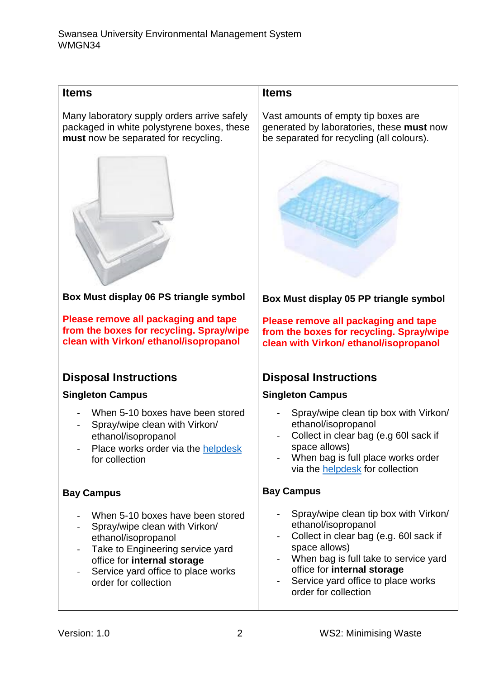| <b>Items</b>                                                                                                                                     | <b>Items</b>                                                                                                                                                                                           |
|--------------------------------------------------------------------------------------------------------------------------------------------------|--------------------------------------------------------------------------------------------------------------------------------------------------------------------------------------------------------|
| Many laboratory supply orders arrive safely<br>packaged in white polystyrene boxes, these<br>must now be separated for recycling.                | Vast amounts of empty tip boxes are<br>generated by laboratories, these must now<br>be separated for recycling (all colours).                                                                          |
|                                                                                                                                                  |                                                                                                                                                                                                        |
| Box Must display 06 PS triangle symbol                                                                                                           | Box Must display 05 PP triangle symbol                                                                                                                                                                 |
| Please remove all packaging and tape<br>from the boxes for recycling. Spray/wipe<br>clean with Virkon/ ethanol/isopropanol                       | Please remove all packaging and tape<br>from the boxes for recycling. Spray/wipe<br>clean with Virkon/ ethanol/isopropanol                                                                             |
| <b>Disposal Instructions</b>                                                                                                                     | <b>Disposal Instructions</b>                                                                                                                                                                           |
| <b>Singleton Campus</b>                                                                                                                          | <b>Singleton Campus</b>                                                                                                                                                                                |
| When 5-10 boxes have been stored<br>Spray/wipe clean with Virkon/<br>ethanol/isopropanol<br>Place works order via the helpdesk<br>for collection | Spray/wipe clean tip box with Virkon/<br>ethanol/isopropanol<br>Collect in clear bag (e.g 60l sack if<br>space allows)<br>When bag is full place works order<br>via the <b>helpdesk</b> for collection |
| <b>Bay Campus</b>                                                                                                                                | <b>Bay Campus</b>                                                                                                                                                                                      |
| When 5-10 boxes have been stored<br>Spray/wipe clean with Virkon/<br>ethanol/isopropanol<br>Take to Engineering service yard                     | Spray/wipe clean tip box with Virkon/<br>ethanol/isopropanol<br>Collect in clear bag (e.g. 60l sack if<br>space allows)                                                                                |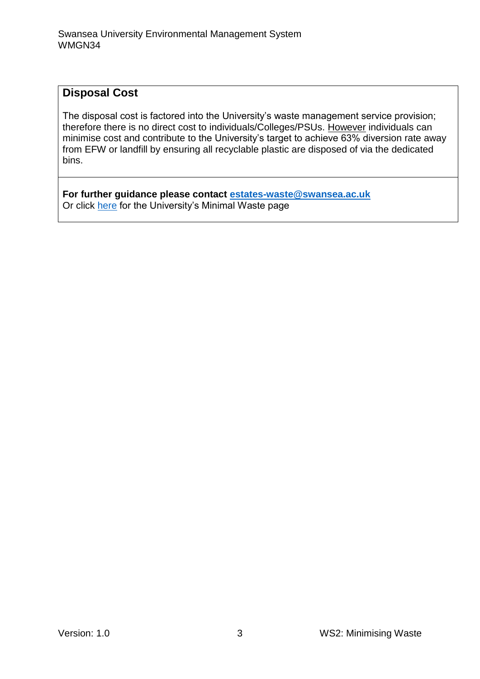#### **Disposal Cost**

The disposal cost is factored into the University's waste management service provision; therefore there is no direct cost to individuals/Colleges/PSUs. However individuals can minimise cost and contribute to the University's target to achieve 63% diversion rate away from EFW or landfill by ensuring all recyclable plastic are disposed of via the dedicated bins.

**For further guidance please contact [estates-waste@swansea.ac.uk](mailto:estates-waste@swansea.ac.uk)** Or click [here](https://www.swansea.ac.uk/sustainability/sustainability-minimal-waste/) for the University's Minimal Waste page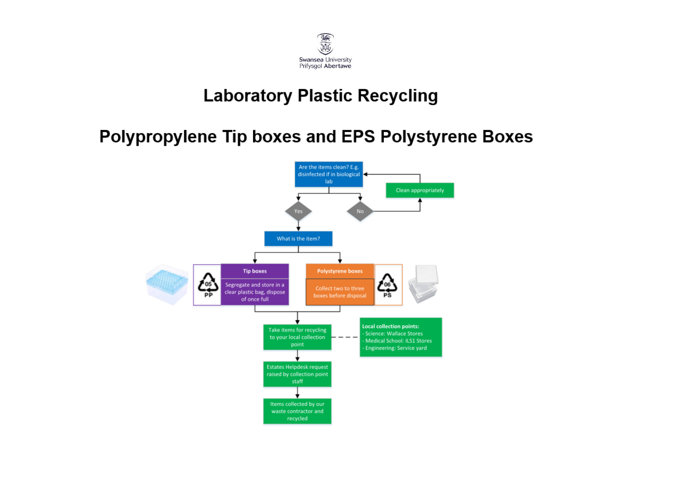

## **Laboratory Plastic Recycling**

### **Polypropylene Tip boxes and EPS Polystyrene Boxes**